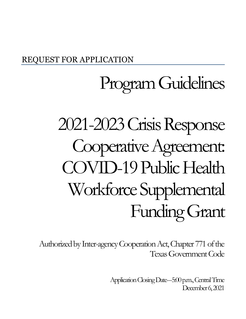## REQUEST FOR APPLICATION

# Program Guidelines

# 2021-2023CrisisResponse Cooperative Agreement: COVID-19 Public Health Workforce Supplemental Funding Grant

Authorized by Inter-agencyCooperation Act, Chapter 771 of the Texas Government Code

> Application Closing Date-5:00 p.m., Central Time December 6, 2021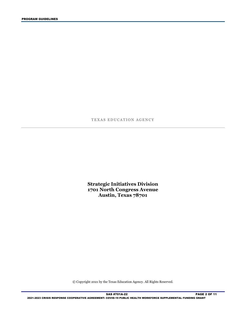TEXAS EDUCATION AGENCY

**Strategic Initiatives Division 1701 North Congress Avenue Austin, Texas 78701** 

© Copyright 2021 by the Texas Education Agency. All Rights Reserved.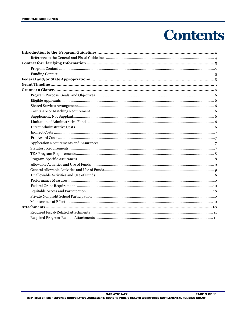## **Contents**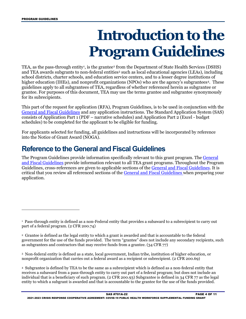## **Introduction to the Program Guidelines**

<span id="page-3-0"></span>TEA, as the pass-through entity<sup>1</sup>, is the grantee<sup>[2](#page-3-3)</sup> from the Department of State Health Services (DSHS) and TEA awards subgrants to non-federal entities<sup>[3](#page-3-4)</sup> such as local educational agencies (LEAs), including guidelines apply to all subgrantees of TEA, regardless of whether referenced herein as subgrantee or grantee. For purposes of this document, TEA may use the terms grantee and subgrantee synonymously school districts, charter schools, and education service centers, and to a lesser degree institutions of higher education (IHEs), and nonprofit organizations (NPOs) who are the agency's subgrantees<sup>4</sup>. These for its subrecipients.

 This part of the request for application (RFA), Program Guidelines, is to be used in conjunction with the consists of Application Part 1 (PDF – narrative schedules) and Application Part 2 (Excel - budget schedules) to be completed for the applicant to be eligible for funding. [General and Fiscal Guidelines](http://tea.texas.gov/WorkArea/linkit.aspx?LinkIdentifier=id&ItemID=25769819073) and any application instructions. The Standard Application System (SAS)

For applicants selected for funding, all guidelines and instructions will be incorporated by reference into the Notice of Grant Award (NOGA).

### <span id="page-3-1"></span>**Reference to the General and Fiscal Guidelines**

The Program Guidelines provide information specifically relevant to this grant program. The <u>General</u> [and Fiscal Guidelines](http://tea.texas.gov/WorkArea/linkit.aspx?LinkIdentifier=id&ItemID=25769819073) provide information relevant to all TEA grant programs. Throughout the Program Guidelines, cross-references are given to applicable sections of the <u>General and Fiscal Guidelines</u>. It is critical that you review all referenced sections of the [General and Fiscal Guidelines](http://tea.texas.gov/WorkArea/linkit.aspx?LinkIdentifier=id&ItemID=25769819073) when preparing your application.

<span id="page-3-4"></span> 3 Non-federal entity is defined as a state, local government, Indian tribe, institution of higher education, or nonprofit organization that carries out a federal award as a recipient or subrecipient. (2 CFR 200.69)

<span id="page-3-5"></span>nonprofit organization that carries out a federal award as a recipient or subrecipient. (2 CFR 200.69)<br>4 Subgrantee is defined by TEA to be the same as a subrecipient which is defined as a non-federal entity that receives a subaward from a pass-through entity to carry out part of a federal program; but does not include an individual that is a beneficiary of such program. (2 CFR 200.93) Subgrantee is defined in 34 CFR 77 as the legal entity to which a subgrant is awarded and that is accountable to the grantee for the use of the funds provided.

<span id="page-3-2"></span> 1 Pass-through entity is defined as a non-Federal entity that provides a subaward to a subrecipient to carry out part of a federal program. (2 CFR 200.74)

<span id="page-3-3"></span> 2 Grantee is defined as the legal entity to which a grant is awarded and that is accountable to the federal government for the use of the funds provided. The term "grantee" does not include any secondary recipients, such as subgrantees and contractors that may receive funds from a grantee. (34 CFR 77)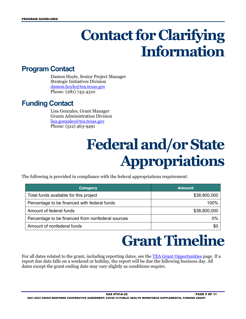## **Contact for Clarifying Information**

#### <span id="page-4-1"></span><span id="page-4-0"></span>**Program Contact**

Damon Hoyle, Senior Project Manager Strategic Initiatives Division [damon.hoyle@tea.texas.gov](mailto:damon.hoyle@tea.texas.gov)  Phone: (281) 743-4310

## <span id="page-4-3"></span><span id="page-4-2"></span>**Funding Contact**

Lisa Gonzales, Grant Manager Grants Administration Division [lisa.gonzales@tea.texas.gov](mailto:lisa.gonzales@tea.texas.gov)  Phone: (512) 463-9491

## **Federal and/or State Appropriations**

The following is provided in compliance with the federal appropriations requirement:

| <b>Category</b>                                   | <b>Amount</b> |
|---------------------------------------------------|---------------|
| Total funds available for this project            | \$38,800,000  |
| Percentage to be financed with federal funds      | 100%          |
| Amount of federal funds                           | \$38,800,000  |
| Percentage to be financed from nonfederal sources | 0%            |
| Amount of nonfederal funds                        | \$0           |

## **Grant Timeline**

<span id="page-4-4"></span> report due date falls on a weekend or holiday, the report will be due the following business day. All For all dates related to the grant, including reporting dates, see the **TEA Grant Opportunities** page. If a dates except the grant ending date may vary slightly as conditions require.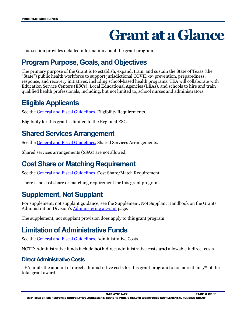## **Grant at a Glance**

<span id="page-5-0"></span>This section provides detailed information about the grant program.

## <span id="page-5-1"></span>**Program Purpose, Goals, and Objectives**

 The primary purpose of the Grant is to establish, expand, train, and sustain the State of Texas (the "State") public health workforce to support jurisdictional COVID-19 prevention, preparedness, response, and recovery initiatives, including school-based health programs. TEA will collaborate with Education Service Centers (ESCs), Local Educational Agencies (LEAs), and schools to hire and train qualified health professionals, including, but not limited to, school nurses and administrators.

### <span id="page-5-2"></span>**Eligible Applicants**

See the **General and Fiscal Guidelines**, Eligibility Requirements.

Eligibility for this grant is limited to the Regional ESCs.

### <span id="page-5-3"></span>**Shared Services Arrangement**

See the [General and Fiscal Guidelines,](http://tea.texas.gov/WorkArea/linkit.aspx?LinkIdentifier=id&ItemID=25769819073) Shared Services Arrangements.

Shared services arrangements (SSAs) are not allowed.

### <span id="page-5-4"></span>**Cost Share or Matching Requirement**

See the [General and Fiscal Guidelines,](http://tea.texas.gov/WorkArea/linkit.aspx?LinkIdentifier=id&ItemID=25769819073) Cost Share/Match Requirement.

There is no cost share or matching requirement for this grant program.

### <span id="page-5-5"></span>**Supplement, Not Supplant**

 For supplement, not supplant guidance, see the Supplement, Not Supplant Handbook on the Grants Administration Division's [Administering a Grant](http://tea.texas.gov/Finance_and_Grants/Administering_a_Grant.aspx) page.

The supplement, not supplant provision does apply to this grant program.

## <span id="page-5-6"></span>**Limitation of Administrative Funds**

See the [General and Fiscal Guidelines,](http://tea.texas.gov/WorkArea/linkit.aspx?LinkIdentifier=id&ItemID=25769819073) Administrative Costs.

NOTE: Administrative funds include **both** direct administrative costs **and** allowable indirect costs.

#### <span id="page-5-7"></span>**Direct Administrative Costs**

TEA limits the amount of direct administrative costs for this grant program to no more than 5% of the total grant award.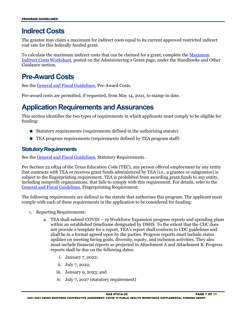#### <span id="page-6-0"></span>**Indirect Costs**

 The grantee may claim a maximum for indirect costs equal to its current approved restricted indirect cost rate for this federally funded grant.

To calculate the maximum indirect costs that can be claimed for a grant, complete the <u>Maximum</u> [Indirect Costs Worksheet,](https://tea.texas.gov/Finance_and_Grants/Administering_a_Grant.aspx) posted on the Administering a Grant page, under the Handbooks and Other Guidance section.

### <span id="page-6-1"></span>**Pre-Award Costs**

See the [General and Fiscal Guidelines,](http://tea.texas.gov/WorkArea/linkit.aspx?LinkIdentifier=id&ItemID=25769819073) Pre-Award Costs.

Pre-award costs are permitted, if requested, from May 14, 2021, to stamp-in date.

#### <span id="page-6-2"></span>**Application Requirements and Assurances**

This section identifies the two types of requirements in which applicants must comply to be eligible for funding:

- Statutory requirements (requirements defined in the authorizing statute)
- **TEA** program requirements (requirements defined by TEA program staff)

#### <span id="page-6-3"></span>**Statutory Requirements**

See the [General and Fiscal Guidelines,](http://tea.texas.gov/WorkArea/linkit.aspx?LinkIdentifier=id&ItemID=25769819073) Statutory Requirements.

 Per Section 22.0834 of the Texas Education Code (TEC), any person offered employment by any entity including nonprofit organizations, that fails to comply with this requirement. For details, refer to the that contracts with TEA or receives grant funds administered by TEA (i.e., a grantee or subgrantee) is subject to the fingerprinting requirement. TEA is prohibited from awarding grant funds to any entity, [General and Fiscal Guidelines,](http://tea.texas.gov/WorkArea/linkit.aspx?LinkIdentifier=id&ItemID=25769819073) Fingerprinting Requirement.

The following requirements are defined in the statute that authorizes this program. The applicant must comply with each of these requirements in the application to be considered for funding:

- 1. Reporting Requirements:
	- a. TEA shall submit COVID 19 Workforce Expansion progress reports and spending plans updates on meeting hiring goals, diversity, equity, and inclusion activities. They also within an established timeframe designated by DSHS. To the extent that the CDC does not provide a template for a report, TEA's report shall conform to CDC guidelines and shall be in a format agreed upon by the parties. Progress reports must include status must include financial reports as projected in Attachment A and Attachment B. Progress reports shall be due on the following dates:
		- i. January 7, 2022;
		- ii. July 7, 2022;
		- iii. January 9, 2023; and
		- iv. July 7, 2027 (statutory requirement)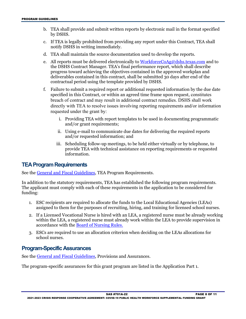- b. TEA shall provide and submit written reports by electronic mail in the format specified by DSHS.
- c. If TEA is legally prohibited from providing any report under this Contract, TEA shall notify DSHS in writing immediately.
- d. TEA shall maintain the source documentation used to develop the reports.
- e. All reports must be delivered electronically to <u>WorkforceCoAg@dshs.texas.com</u> and to the DSHS Contract Manager. TEA's final performance report, which shall describe progress toward achieving the objectives contained in the approved workplan and deliverables contained in this contract, shall be submitted 30 days after end of the contractual period using the template provided by DSHS.
- f. Failure to submit a required report or additional requested information by the due date specified in this Contract, or within an agreed time frame upon request, constitutes breach of contract and may result in additional contract remedies. DSHS shall work directly with TEA to resolve issues involving reporting requirements and/or information requested under the grant by:
	- i. Providing TEA with report templates to be used in documenting programmatic and/or grant requirements;
	- ii. Using e-mail to communicate due dates for delivering the required reports and/or requested information; and
	- iii. Scheduling follow-up meetings, to be held either virtually or by telephone, to provide TEA with technical assistance on reporting requirements or requested information.

#### <span id="page-7-0"></span>**TEA Program Requirements**

See the [General and Fiscal Guidelines,](http://tea.texas.gov/WorkArea/linkit.aspx?LinkIdentifier=id&ItemID=25769819073) TEA Program Requirements.

 The applicant must comply with each of these requirements in the application to be considered for funding: In addition to the statutory requirements, TEA has established the following program requirements.

- funding: 1. ESC recipients are required to allocate the funds to the Local Educational Agencies (LEAs) assigned to them for the purposes of recruiting, hiring, and training for licensed school nurses.
- 2. If a Licensed Vocational Nurse is hired with an LEA, a registered nurse must be already working within the LEA, a registered nurse must already work within the LEA to provide supervision in accordance with the [Board of Nursing Rules.](https://www.bon.texas.gov/practice_bon_position_statements_content.asp#15.13)
- 3. ESCs are required to use an allocation criterion when deciding on the LEAs allocations for school nurses.

#### <span id="page-7-1"></span> **Program-Specific Assurances**

See the [General and Fiscal Guidelines,](http://tea.texas.gov/WorkArea/linkit.aspx?LinkIdentifier=id&ItemID=25769819073) Provisions and Assurances.

The program-specific assurances for this grant program are listed in the Application Part 1.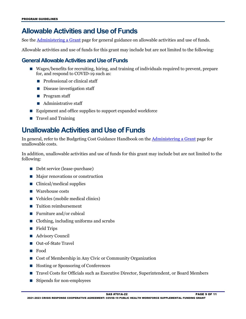### <span id="page-8-0"></span>**Allowable Activities and Use of Funds**

See the Administering a Grant page for general guidance on allowable activities and use of funds.

Allowable activities and use of funds for this grant may include but are not limited to the following:

#### <span id="page-8-1"></span>**General Allowable Activities and Use of Funds**

- Wages/benefits for recruiting, hiring, and training of individuals required to prevent, prepare for, and respond to COVID-19 such as:
	- **Professional or clinical staff**
	- Disease investigation staff
	- **Program staff**
	- **Administrative staff**
- $\blacksquare$  Equipment and office supplies to support expanded workforce
- **Travel and Training**

#### <span id="page-8-2"></span>**Unallowable Activities and Use of Funds**

In general, refer to the Budgeting Cost Guidance Handbook on the Administering a Grant page for unallowable costs.

 In addition, unallowable activities and use of funds for this grant may include but are not limited to the following:

- Debt service (lease-purchase)
- Major renovations or construction
- $\Box$  Clinical/medical supplies
- Warehouse costs
- Vehicles (mobile medical clinics)
- Tuition reimbursement
- Furniture and/or cubical
- Clothing, including uniforms and scrubs
- Field Trips
- Advisory Council
- Out-of-State Travel
- **Food**
- Cost of Membership in Any Civic or Community Organization
- Hosting or Sponsoring of Conferences
- Travel Costs for Officials such as Executive Director, Superintendent, or Board Members
- Stipends for non-employees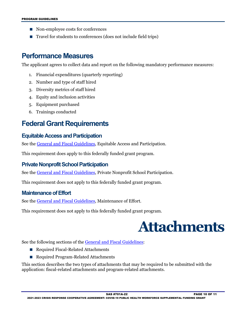- Non-employee costs for conferences
- Travel for students to conferences (does not include field trips)

#### <span id="page-9-0"></span>**Performance Measures**

The applicant agrees to collect data and report on the following mandatory performance measures:

- 1. Financial expenditures (quarterly reporting)
- 2. Number and type of staff hired
- 3. Diversity metrics of staff hired
- 4. Equity and inclusion activities
- 5. Equipment purchased
- 6. Trainings conducted

#### <span id="page-9-1"></span>**Federal Grant Requirements**

#### <span id="page-9-2"></span>**Equitable Access and Participation**

See the General and Fiscal Guidelines, Equitable Access and Participation.

This requirement does apply to this federally funded grant program.

#### <span id="page-9-3"></span>**Private Nonprofit School Participation**

See the General and Fiscal Guidelines, Private Nonprofit School Participation.

This requirement does not apply to this federally funded grant program.

#### <span id="page-9-4"></span>**Maintenance of Effort**

See the General and Fiscal Guidelines, Maintenance of Effort.

<span id="page-9-5"></span>This requirement does not apply to this federally funded grant program.



See the following sections of the <u>General and Fiscal Guidelines</u>:

- Required Fiscal-Related Attachments
- Required Program-Related Attachments

This section describes the two types of attachments that may be required to be submitted with the application: fiscal-related attachments and program-related attachments.